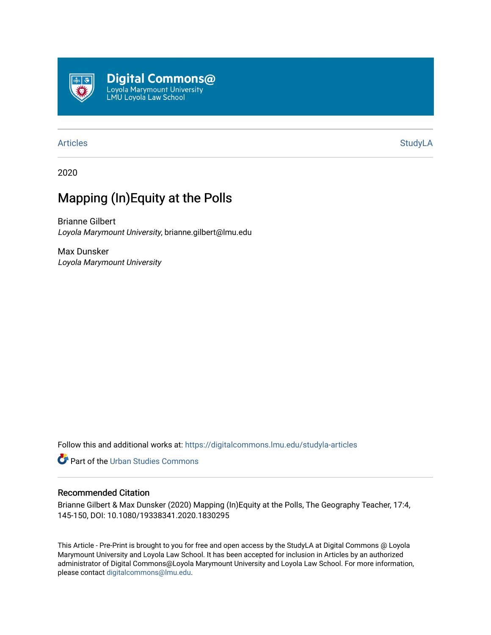[Articles](https://digitalcommons.lmu.edu/studyla-articles) [StudyLA](https://digitalcommons.lmu.edu/studyla) **StudyLA** 

2020

# Mapping (In)Equity at the Polls

Brianne Gilbert Loyola Marymount University, brianne.gilbert@lmu.edu

Max Dunsker Loyola Marymount University

Follow this and additional works at: [https://digitalcommons.lmu.edu/studyla-articles](https://digitalcommons.lmu.edu/studyla-articles?utm_source=digitalcommons.lmu.edu%2Fstudyla-articles%2F1&utm_medium=PDF&utm_campaign=PDFCoverPages) 

Part of the [Urban Studies Commons](http://network.bepress.com/hgg/discipline/402?utm_source=digitalcommons.lmu.edu%2Fstudyla-articles%2F1&utm_medium=PDF&utm_campaign=PDFCoverPages) 

### Recommended Citation

Brianne Gilbert & Max Dunsker (2020) Mapping (In)Equity at the Polls, The Geography Teacher, 17:4, 145-150, DOI: 10.1080/19338341.2020.1830295

This Article - Pre-Print is brought to you for free and open access by the StudyLA at Digital Commons @ Loyola Marymount University and Loyola Law School. It has been accepted for inclusion in Articles by an authorized administrator of Digital Commons@Loyola Marymount University and Loyola Law School. For more information, please contact [digitalcommons@lmu.edu](mailto:digitalcommons@lmu.edu).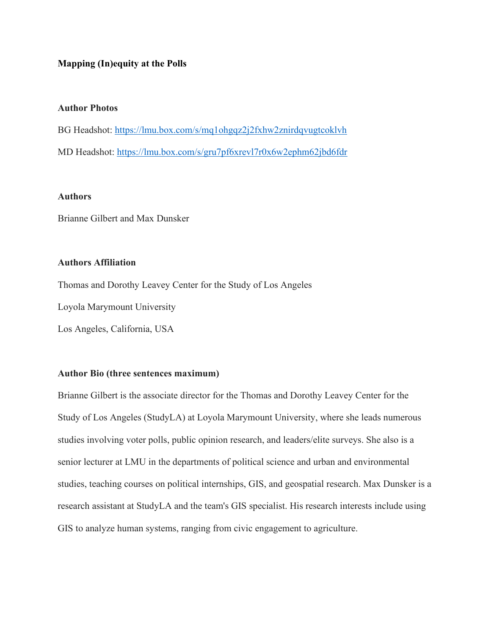### **Mapping (In)equity at the Polls**

### **Author Photos**

BG Headshot:<https://lmu.box.com/s/mq1ohgqz2j2fxhw2znirdqvugtcoklvh> MD Headshot:<https://lmu.box.com/s/gru7pf6xrevl7r0x6w2ephm62jbd6fdr>

### **Authors**

Brianne Gilbert and Max Dunsker

### **Authors Affiliation**

Thomas and Dorothy Leavey Center for the Study of Los Angeles

Loyola Marymount University

Los Angeles, California, USA

### **Author Bio (three sentences maximum)**

Brianne Gilbert is the associate director for the Thomas and Dorothy Leavey Center for the Study of Los Angeles (StudyLA) at Loyola Marymount University, where she leads numerous studies involving voter polls, public opinion research, and leaders/elite surveys. She also is a senior lecturer at LMU in the departments of political science and urban and environmental studies, teaching courses on political internships, GIS, and geospatial research. Max Dunsker is a research assistant at StudyLA and the team's GIS specialist. His research interests include using GIS to analyze human systems, ranging from civic engagement to agriculture.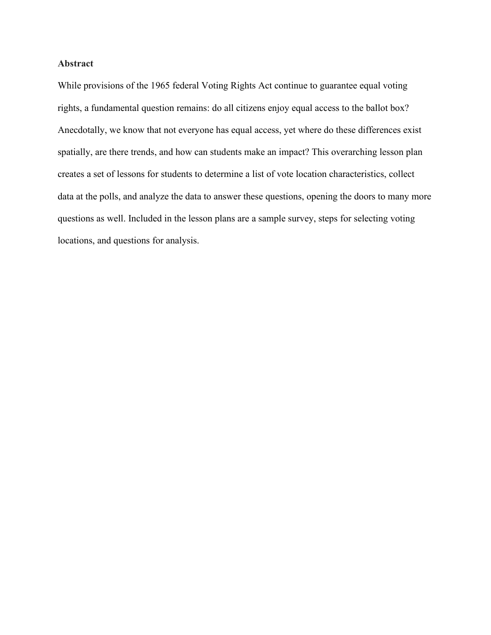### **Abstract**

While provisions of the 1965 federal Voting Rights Act continue to guarantee equal voting rights, a fundamental question remains: do all citizens enjoy equal access to the ballot box? Anecdotally, we know that not everyone has equal access, yet where do these differences exist spatially, are there trends, and how can students make an impact? This overarching lesson plan creates a set of lessons for students to determine a list of vote location characteristics, collect data at the polls, and analyze the data to answer these questions, opening the doors to many more questions as well. Included in the lesson plans are a sample survey, steps for selecting voting locations, and questions for analysis.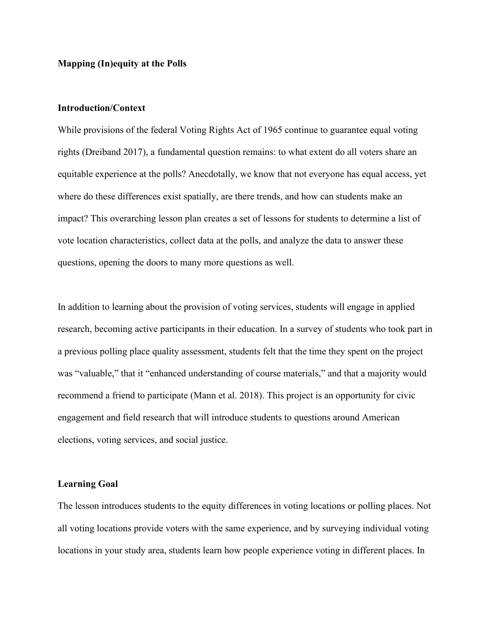### **Mapping (In)equity at the Polls**

### **Introduction/Context**

While provisions of the federal Voting Rights Act of 1965 continue to guarantee equal voting rights (Dreiband 2017), a fundamental question remains: to what extent do all voters share an equitable experience at the polls? Anecdotally, we know that not everyone has equal access, yet where do these differences exist spatially, are there trends, and how can students make an impact? This overarching lesson plan creates a set of lessons for students to determine a list of vote location characteristics, collect data at the polls, and analyze the data to answer these questions, opening the doors to many more questions as well.

In addition to learning about the provision of voting services, students will engage in applied research, becoming active participants in their education. In a survey of students who took part in a previous polling place quality assessment, students felt that the time they spent on the project was "valuable," that it "enhanced understanding of course materials," and that a majority would recommend a friend to participate (Mann et al. 2018). This project is an opportunity for civic engagement and field research that will introduce students to questions around American elections, voting services, and social justice.

#### **Learning Goal**

The lesson introduces students to the equity differences in voting locations or polling places. Not all voting locations provide voters with the same experience, and by surveying individual voting locations in your study area, students learn how people experience voting in different places. In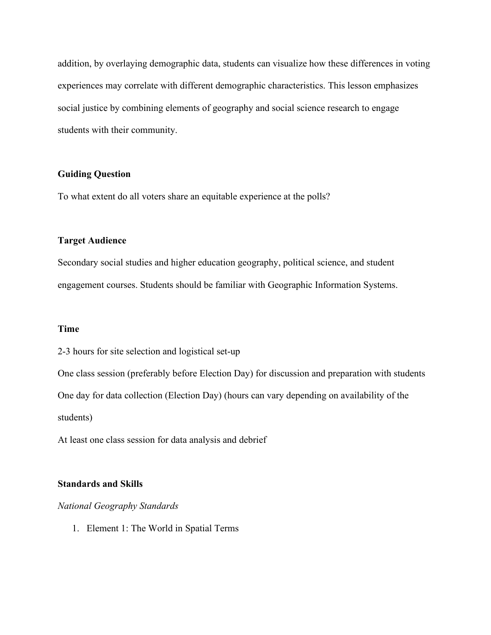addition, by overlaying demographic data, students can visualize how these differences in voting experiences may correlate with different demographic characteristics. This lesson emphasizes social justice by combining elements of geography and social science research to engage students with their community.

### **Guiding Question**

To what extent do all voters share an equitable experience at the polls?

### **Target Audience**

Secondary social studies and higher education geography, political science, and student engagement courses. Students should be familiar with Geographic Information Systems.

### **Time**

2-3 hours for site selection and logistical set-up

One class session (preferably before Election Day) for discussion and preparation with students One day for data collection (Election Day) (hours can vary depending on availability of the students)

At least one class session for data analysis and debrief

### **Standards and Skills**

#### *National Geography Standards*

1. Element 1: The World in Spatial Terms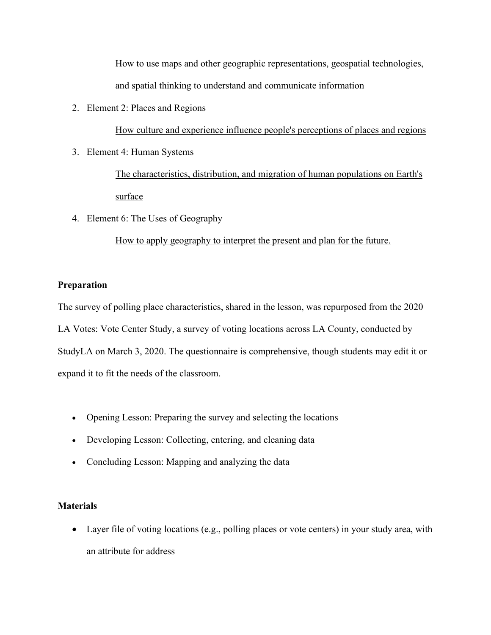[How to use maps and other geographic representations, geospatial technologies,](https://www.nationalgeographic.org/education/standards/national-geography-standards/1/)  [and spatial thinking to understand and communicate information](https://www.nationalgeographic.org/education/standards/national-geography-standards/1/)

2. Element 2: Places and Regions

[How culture and experience influence people's perceptions of places and regions](https://www.nationalgeographic.org/education/standards/national-geography-standards/6/)

3. Element 4: Human Systems

[The characteristics, distribution, and migration of human populations on Earth's](https://www.nationalgeographic.org/education/standards/national-geography-standards/9/)  [surface](https://www.nationalgeographic.org/education/standards/national-geography-standards/9/)

4. Element 6: The Uses of Geography

[How to apply geography to interpret the present and plan for the future.](https://www.nationalgeographic.org/education/standards/national-geography-standards/18/)

## **Preparation**

The survey of polling place characteristics, shared in the lesson, was repurposed from the 2020 LA Votes: Vote Center Study, a survey of voting locations across LA County, conducted by StudyLA on March 3, 2020. The questionnaire is comprehensive, though students may edit it or expand it to fit the needs of the classroom.

- Opening Lesson: Preparing the survey and selecting the locations
- Developing Lesson: Collecting, entering, and cleaning data
- Concluding Lesson: Mapping and analyzing the data

### **Materials**

• Layer file of voting locations (e.g., polling places or vote centers) in your study area, with an attribute for address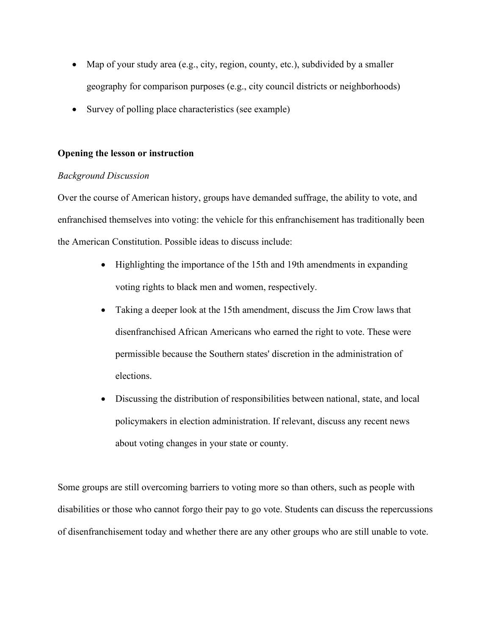- Map of your study area (e.g., city, region, county, etc.), subdivided by a smaller geography for comparison purposes (e.g., city council districts or neighborhoods)
- Survey of polling place characteristics (see example)

### **Opening the lesson or instruction**

### *Background Discussion*

Over the course of American history, groups have demanded suffrage, the ability to vote, and enfranchised themselves into voting: the vehicle for this enfranchisement has traditionally been the American Constitution. Possible ideas to discuss include:

- Highlighting the importance of the 15th and 19th amendments in expanding voting rights to black men and women, respectively.
- Taking a deeper look at the 15th amendment, discuss the Jim Crow laws that disenfranchised African Americans who earned the right to vote. These were permissible because the Southern states' discretion in the administration of elections.
- Discussing the distribution of responsibilities between national, state, and local policymakers in election administration. If relevant, discuss any recent news about voting changes in your state or county.

Some groups are still overcoming barriers to voting more so than others, such as people with disabilities or those who cannot forgo their pay to go vote. Students can discuss the repercussions of disenfranchisement today and whether there are any other groups who are still unable to vote.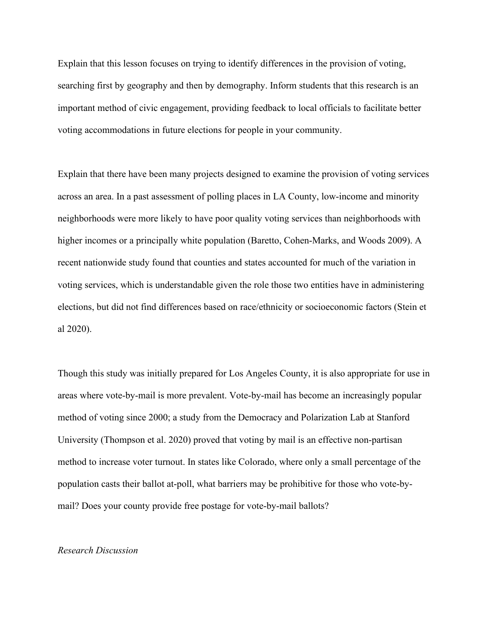Explain that this lesson focuses on trying to identify differences in the provision of voting, searching first by geography and then by demography. Inform students that this research is an important method of civic engagement, providing feedback to local officials to facilitate better voting accommodations in future elections for people in your community.

Explain that there have been many projects designed to examine the provision of voting services across an area. In a past assessment of polling places in LA County, low-income and minority neighborhoods were more likely to have poor quality voting services than neighborhoods with higher incomes or a principally white population (Baretto, Cohen-Marks, and Woods 2009). A recent nationwide study found that counties and states accounted for much of the variation in voting services, which is understandable given the role those two entities have in administering elections, but did not find differences based on race/ethnicity or socioeconomic factors (Stein et al 2020).

Though this study was initially prepared for Los Angeles County, it is also appropriate for use in areas where vote-by-mail is more prevalent. Vote-by-mail has become an increasingly popular method of voting since 2000; a study from the Democracy and Polarization Lab at Stanford University (Thompson et al. 2020) proved that voting by mail is an effective non-partisan method to increase voter turnout. In states like Colorado, where only a small percentage of the population casts their ballot at-poll, what barriers may be prohibitive for those who vote-bymail? Does your county provide free postage for vote-by-mail ballots?

#### *Research Discussion*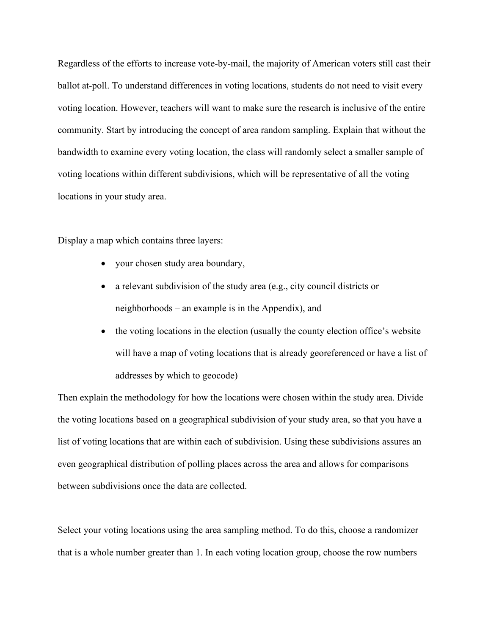Regardless of the efforts to increase vote-by-mail, the majority of American voters still cast their ballot at-poll. To understand differences in voting locations, students do not need to visit every voting location. However, teachers will want to make sure the research is inclusive of the entire community. Start by introducing the concept of area random sampling. Explain that without the bandwidth to examine every voting location, the class will randomly select a smaller sample of voting locations within different subdivisions, which will be representative of all the voting locations in your study area.

Display a map which contains three layers:

- your chosen study area boundary,
- a relevant subdivision of the study area (e.g., city council districts or neighborhoods – an example is in the Appendix), and
- the voting locations in the election (usually the county election office's website will have a map of voting locations that is already georeferenced or have a list of addresses by which to geocode)

Then explain the methodology for how the locations were chosen within the study area. Divide the voting locations based on a geographical subdivision of your study area, so that you have a list of voting locations that are within each of subdivision. Using these subdivisions assures an even geographical distribution of polling places across the area and allows for comparisons between subdivisions once the data are collected.

Select your voting locations using the area sampling method. To do this, choose a randomizer that is a whole number greater than 1. In each voting location group, choose the row numbers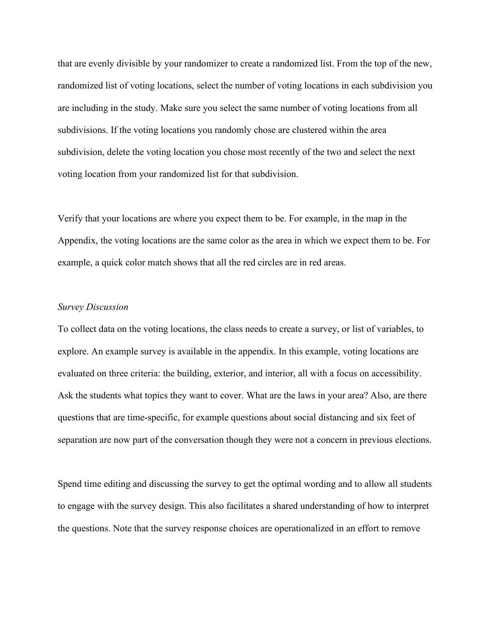that are evenly divisible by your randomizer to create a randomized list. From the top of the new, randomized list of voting locations, select the number of voting locations in each subdivision you are including in the study. Make sure you select the same number of voting locations from all subdivisions. If the voting locations you randomly chose are clustered within the area subdivision, delete the voting location you chose most recently of the two and select the next voting location from your randomized list for that subdivision.

Verify that your locations are where you expect them to be. For example, in the map in the Appendix, the voting locations are the same color as the area in which we expect them to be. For example, a quick color match shows that all the red circles are in red areas.

#### *Survey Discussion*

To collect data on the voting locations, the class needs to create a survey, or list of variables, to explore. An example survey is available in the appendix. In this example, voting locations are evaluated on three criteria: the building, exterior, and interior, all with a focus on accessibility. Ask the students what topics they want to cover. What are the laws in your area? Also, are there questions that are time-specific, for example questions about social distancing and six feet of separation are now part of the conversation though they were not a concern in previous elections.

Spend time editing and discussing the survey to get the optimal wording and to allow all students to engage with the survey design. This also facilitates a shared understanding of how to interpret the questions. Note that the survey response choices are operationalized in an effort to remove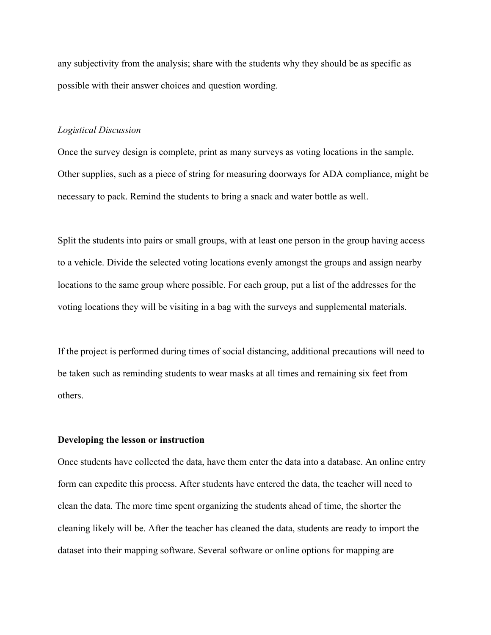any subjectivity from the analysis; share with the students why they should be as specific as possible with their answer choices and question wording.

### *Logistical Discussion*

Once the survey design is complete, print as many surveys as voting locations in the sample. Other supplies, such as a piece of string for measuring doorways for ADA compliance, might be necessary to pack. Remind the students to bring a snack and water bottle as well.

Split the students into pairs or small groups, with at least one person in the group having access to a vehicle. Divide the selected voting locations evenly amongst the groups and assign nearby locations to the same group where possible. For each group, put a list of the addresses for the voting locations they will be visiting in a bag with the surveys and supplemental materials.

If the project is performed during times of social distancing, additional precautions will need to be taken such as reminding students to wear masks at all times and remaining six feet from others.

#### **Developing the lesson or instruction**

Once students have collected the data, have them enter the data into a database. An online entry form can expedite this process. After students have entered the data, the teacher will need to clean the data. The more time spent organizing the students ahead of time, the shorter the cleaning likely will be. After the teacher has cleaned the data, students are ready to import the dataset into their mapping software. Several software or online options for mapping are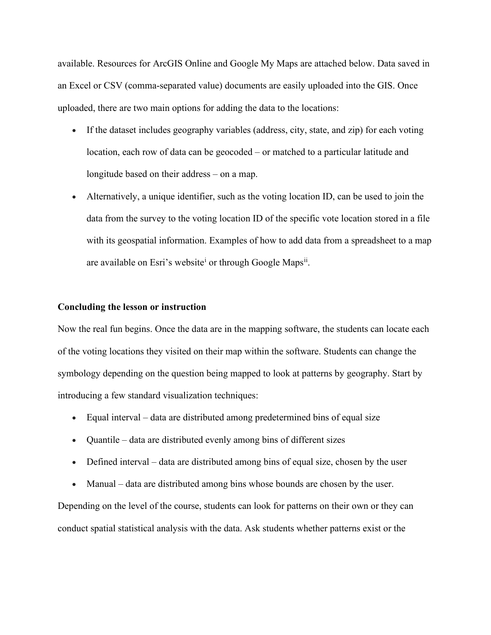available. Resources for ArcGIS Online and Google My Maps are attached below. Data saved in an Excel or CSV (comma-separated value) documents are easily uploaded into the GIS. Once uploaded, there are two main options for adding the data to the locations:

- If the dataset includes geography variables (address, city, state, and zip) for each voting location, each row of data can be geocoded – or matched to a particular latitude and longitude based on their address – on a map.
- Alternatively, a unique identifier, such as the voting location ID, can be used to join the data from the survey to the voting location ID of the specific vote location stored in a file with its geospatial information. Examples of how to add data from a spreadsheet to a map are ava[i](#page-17-0)lable on Esri's website<sup>i</sup> or through Google Maps<sup>ii</sup>.

#### **Concluding the lesson or instruction**

Now the real fun begins. Once the data are in the mapping software, the students can locate each of the voting locations they visited on their map within the software. Students can change the symbology depending on the question being mapped to look at patterns by geography. Start by introducing a few standard visualization techniques:

- Equal interval data are distributed among predetermined bins of equal size
- Quantile data are distributed evenly among bins of different sizes
- Defined interval data are distributed among bins of equal size, chosen by the user
- Manual data are distributed among bins whose bounds are chosen by the user.

Depending on the level of the course, students can look for patterns on their own or they can conduct spatial statistical analysis with the data. Ask students whether patterns exist or the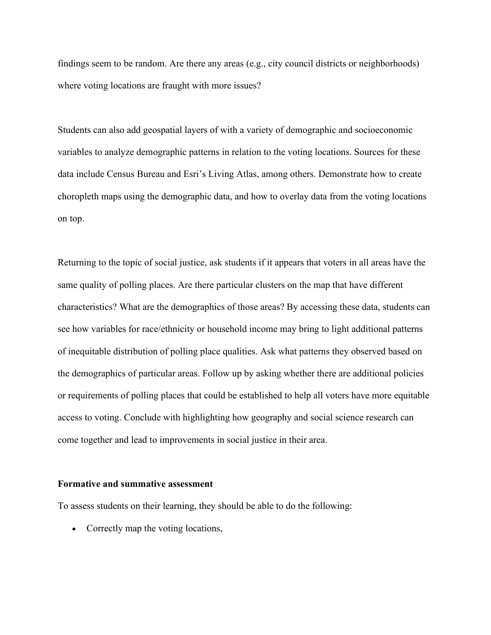findings seem to be random. Are there any areas (e.g., city council districts or neighborhoods) where voting locations are fraught with more issues?

Students can also add geospatial layers of with a variety of demographic and socioeconomic variables to analyze demographic patterns in relation to the voting locations. Sources for these data include Census Bureau and Esri's Living Atlas, among others. Demonstrate how to create choropleth maps using the demographic data, and how to overlay data from the voting locations on top.

Returning to the topic of social justice, ask students if it appears that voters in all areas have the same quality of polling places. Are there particular clusters on the map that have different characteristics? What are the demographics of those areas? By accessing these data, students can see how variables for race/ethnicity or household income may bring to light additional patterns of inequitable distribution of polling place qualities. Ask what patterns they observed based on the demographics of particular areas. Follow up by asking whether there are additional policies or requirements of polling places that could be established to help all voters have more equitable access to voting. Conclude with highlighting how geography and social science research can come together and lead to improvements in social justice in their area.

### **Formative and summative assessment**

To assess students on their learning, they should be able to do the following:

• Correctly map the voting locations,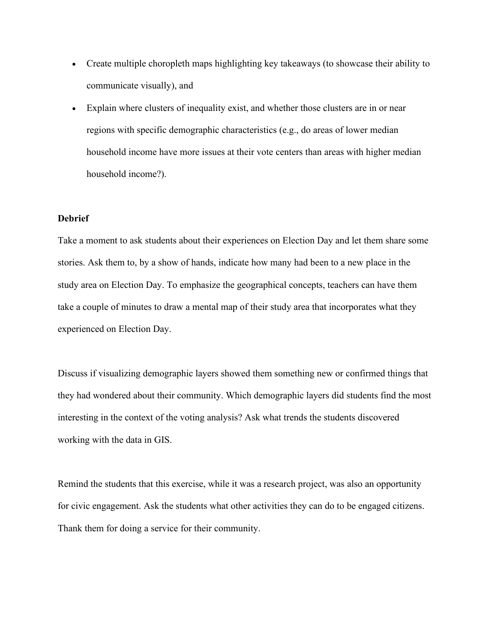- Create multiple choropleth maps highlighting key takeaways (to showcase their ability to communicate visually), and
- Explain where clusters of inequality exist, and whether those clusters are in or near regions with specific demographic characteristics (e.g., do areas of lower median household income have more issues at their vote centers than areas with higher median household income?).

### **Debrief**

Take a moment to ask students about their experiences on Election Day and let them share some stories. Ask them to, by a show of hands, indicate how many had been to a new place in the study area on Election Day. To emphasize the geographical concepts, teachers can have them take a couple of minutes to draw a mental map of their study area that incorporates what they experienced on Election Day.

Discuss if visualizing demographic layers showed them something new or confirmed things that they had wondered about their community. Which demographic layers did students find the most interesting in the context of the voting analysis? Ask what trends the students discovered working with the data in GIS.

Remind the students that this exercise, while it was a research project, was also an opportunity for civic engagement. Ask the students what other activities they can do to be engaged citizens. Thank them for doing a service for their community.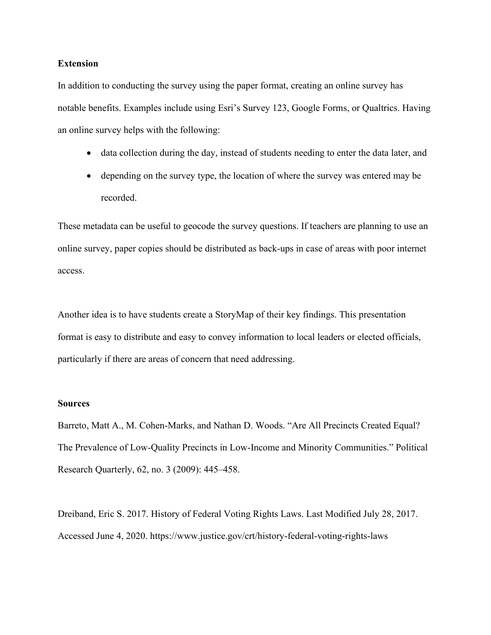### **Extension**

In addition to conducting the survey using the paper format, creating an online survey has notable benefits. Examples include using Esri's Survey 123, Google Forms, or Qualtrics. Having an online survey helps with the following:

- data collection during the day, instead of students needing to enter the data later, and
- depending on the survey type, the location of where the survey was entered may be recorded.

These metadata can be useful to geocode the survey questions. If teachers are planning to use an online survey, paper copies should be distributed as back-ups in case of areas with poor internet access.

Another idea is to have students create a StoryMap of their key findings. This presentation format is easy to distribute and easy to convey information to local leaders or elected officials, particularly if there are areas of concern that need addressing.

### **Sources**

Barreto, Matt A., M. Cohen-Marks, and Nathan D. Woods. "Are All Precincts Created Equal? The Prevalence of Low-Quality Precincts in Low-Income and Minority Communities." Political Research Quarterly, 62, no. 3 (2009): 445–458.

Dreiband, Eric S. 2017. History of Federal Voting Rights Laws. Last Modified July 28, 2017. Accessed June 4, 2020.<https://www.justice.gov/crt/history-federal-voting-rights-laws>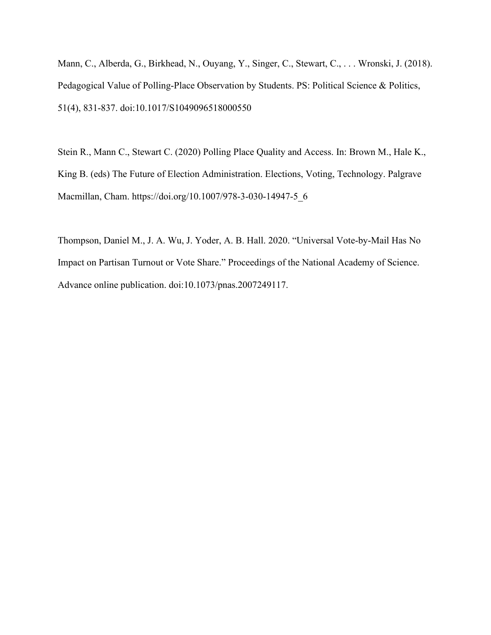Mann, C., Alberda, G., Birkhead, N., Ouyang, Y., Singer, C., Stewart, C., . . . Wronski, J. (2018). Pedagogical Value of Polling-Place Observation by Students. PS: Political Science & Politics, 51(4), 831-837. doi:10.1017/S1049096518000550

Stein R., Mann C., Stewart C. (2020) Polling Place Quality and Access. In: Brown M., Hale K., King B. (eds) The Future of Election Administration. Elections, Voting, Technology. Palgrave Macmillan, Cham. https://doi.org/10.1007/978-3-030-14947-5\_6

Thompson, Daniel M., J. A. Wu, J. Yoder, A. B. Hall. 2020. "Universal Vote-by-Mail Has No Impact on Partisan Turnout or Vote Share." Proceedings of the National Academy of Science. Advance online publication. doi:10.1073/pnas.2007249117.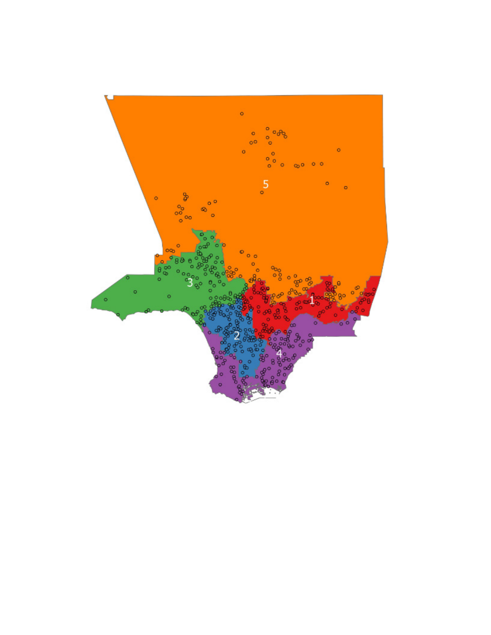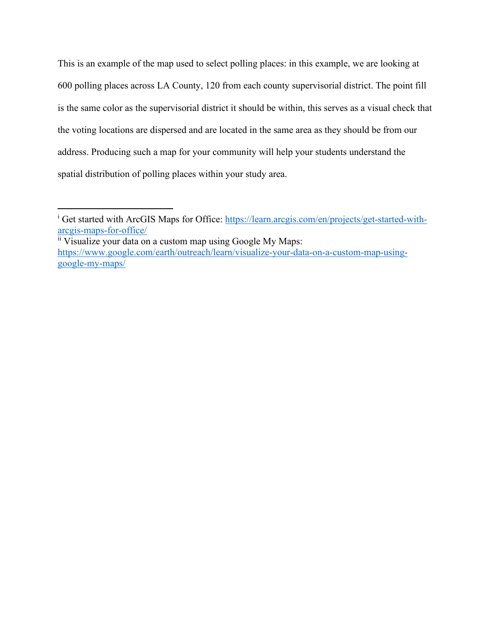This is an example of the map used to select polling places: in this example, we are looking at 600 polling places across LA County, 120 from each county supervisorial district. The point fill is the same color as the supervisorial district it should be within, this serves as a visual check that the voting locations are dispersed and are located in the same area as they should be from our address. Producing such a map for your community will help your students understand the spatial distribution of polling places within your study area.

<span id="page-17-0"></span><sup>&</sup>lt;sup>i</sup> Get started with ArcGIS Maps for Office: [https://learn.arcgis.com/en/projects/get-started-with](https://learn.arcgis.com/en/projects/get-started-with-arcgis-maps-for-office/)[arcgis-maps-for-office/](https://learn.arcgis.com/en/projects/get-started-with-arcgis-maps-for-office/)

<span id="page-17-1"></span>ii Visualize your data on a custom map using Google My Maps: [https://www.google.com/earth/outreach/learn/visualize-your-data-on-a-custom-map-using](https://www.google.com/earth/outreach/learn/visualize-your-data-on-a-custom-map-using-google-my-maps/)[google-my-maps/](https://www.google.com/earth/outreach/learn/visualize-your-data-on-a-custom-map-using-google-my-maps/)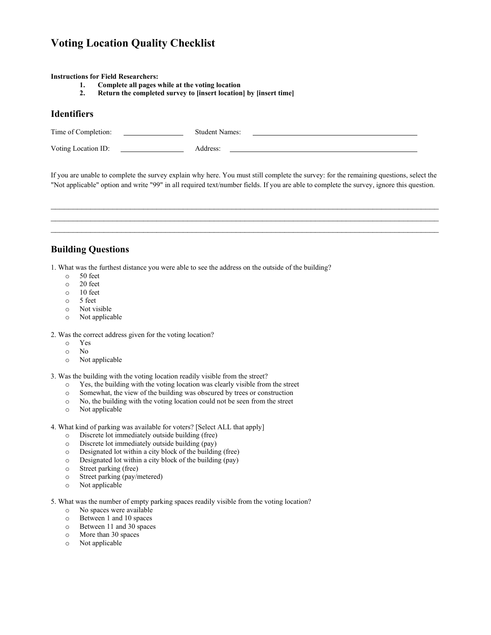# **Voting Location Quality Checklist**

#### **Instructions for Field Researchers:**

- **1. Complete all pages while at the voting location**
- **2. Return the completed survey to [insert location] by [insert time]**

### **Identifiers**

| Time of Completion: | <b>Student Names:</b> |
|---------------------|-----------------------|
| Voting Location ID: | Address:              |

If you are unable to complete the survey explain why here. You must still complete the survey: for the remaining questions, select the "Not applicable" option and write "99" in all required text/number fields. If you are able to complete the survey, ignore this question.



### **Building Questions**

1. What was the furthest distance you were able to see the address on the outside of the building?

- $\circ$  50 feet<br> $\circ$  20 feet
- $\circ$  20 feet<br> $\circ$  10 feet
- o 10 feet
- o 5 feet
- o Not visible<br>
o Not applica
- Not applicable

#### 2. Was the correct address given for the voting location?

- o Yes
- o No
- o Not applicable
- 3. Was the building with the voting location readily visible from the street?
	- o Yes, the building with the voting location was clearly visible from the street
	- Somewhat, the view of the building was obscured by trees or construction
	- o No, the building with the voting location could not be seen from the street
	- o Not applicable
- 4. What kind of parking was available for voters? [Select ALL that apply]
	- o Discrete lot immediately outside building (free)
	- o Discrete lot immediately outside building (pay)
	- o Designated lot within a city block of the building (free)
	- o Designated lot within a city block of the building (pay)
	- o Street parking (free)
	- o Street parking (pay/metered)
	- o Not applicable

5. What was the number of empty parking spaces readily visible from the voting location?

- o No spaces were available
- o Between 1 and 10 spaces
- o Between 11 and 30 spaces
- o More than 30 spaces
- Not applicable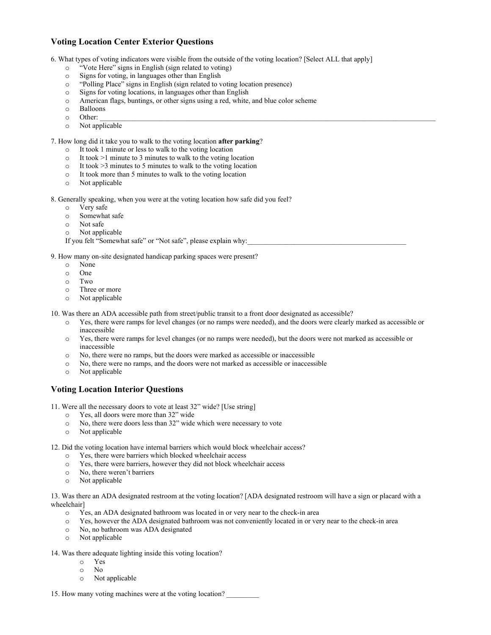### **Voting Location Center Exterior Questions**

6. What types of voting indicators were visible from the outside of the voting location? [Select ALL that apply]

- o "Vote Here" signs in English (sign related to voting)
- o Signs for voting, in languages other than English
- o "Polling Place" signs in English (sign related to voting location presence)
- o Signs for voting locations, in languages other than English
- o American flags, buntings, or other signs using a red, white, and blue color scheme
- Balloons<br>Other:
- o Other: \_\_\_\_\_\_\_\_\_\_\_\_\_\_\_\_\_\_\_\_\_\_\_\_\_\_\_\_\_\_\_\_\_\_\_\_\_\_\_\_\_\_\_\_\_\_\_\_\_\_\_\_\_\_\_\_\_\_\_\_\_\_\_\_\_\_\_\_\_\_\_\_\_\_\_\_\_\_\_\_\_\_\_\_\_\_\_\_\_\_\_\_\_
- o Not applicable

7. How long did it take you to walk to the voting location **after parking**?

- o It took 1 minute or less to walk to the voting location<br>o It took >1 minute to 3 minutes to walk to the voting le
- o It took >1 minute to 3 minutes to walk to the voting location<br>  $\circ$  It took >3 minutes to 5 minutes to walk to the voting location
- It took  $>3$  minutes to 5 minutes to walk to the voting location
- o It took more than 5 minutes to walk to the voting location
- o Not applicable

8. Generally speaking, when you were at the voting location how safe did you feel?<br>  $\circ$  Very safe

- Very safe
- o Somewhat safe
- Not safe
- o Not applicable

If you felt "Somewhat safe" or "Not safe", please explain why:

9. How many on-site designated handicap parking spaces were present?

- o None
- 
- o One
- o Two Three or more
- o Not applicable

10. Was there an ADA accessible path from street/public transit to a front door designated as accessible?

- o Yes, there were ramps for level changes (or no ramps were needed), and the doors were clearly marked as accessible or inaccessible
- o Yes, there were ramps for level changes (or no ramps were needed), but the doors were not marked as accessible or inaccessible
- o No, there were no ramps, but the doors were marked as accessible or inaccessible
- o No, there were no ramps, and the doors were not marked as accessible or inaccessible
- o Not applicable

### **Voting Location Interior Questions**

11. Were all the necessary doors to vote at least 32" wide? [Use string]

- $\circ$  Yes, all doors were more than 32" wide<br>  $\circ$  No, there were doors less than 32" wide
- $\circ$  No, there were doors less than 32" wide which were necessary to vote  $\circ$  Not applicable
- Not applicable

12. Did the voting location have internal barriers which would block wheelchair access?

- o Yes, there were barriers which blocked wheelchair access
- $\circ$  Yes, there were barriers, however they did not block wheelchair access  $\circ$  No. there weren't barriers
- o No, there weren't barriers
- Not applicable

13. Was there an ADA designated restroom at the voting location? [ADA designated restroom will have a sign or placard with a wheelchair]

- $\circ$  Yes, an ADA designated bathroom was located in or very near to the check-in area<br> $\circ$  Yes, however the ADA designated bathroom was not conveniently located in or ver
- o Yes, however the ADA designated bathroom was not conveniently located in or very near to the check-in area
- o No, no bathroom was ADA designated<br>  $\circ$  Not applicable
- Not applicable

#### 14. Was there adequate lighting inside this voting location?

- o Yes
- o No
- o Not applicable

15. How many voting machines were at the voting location?